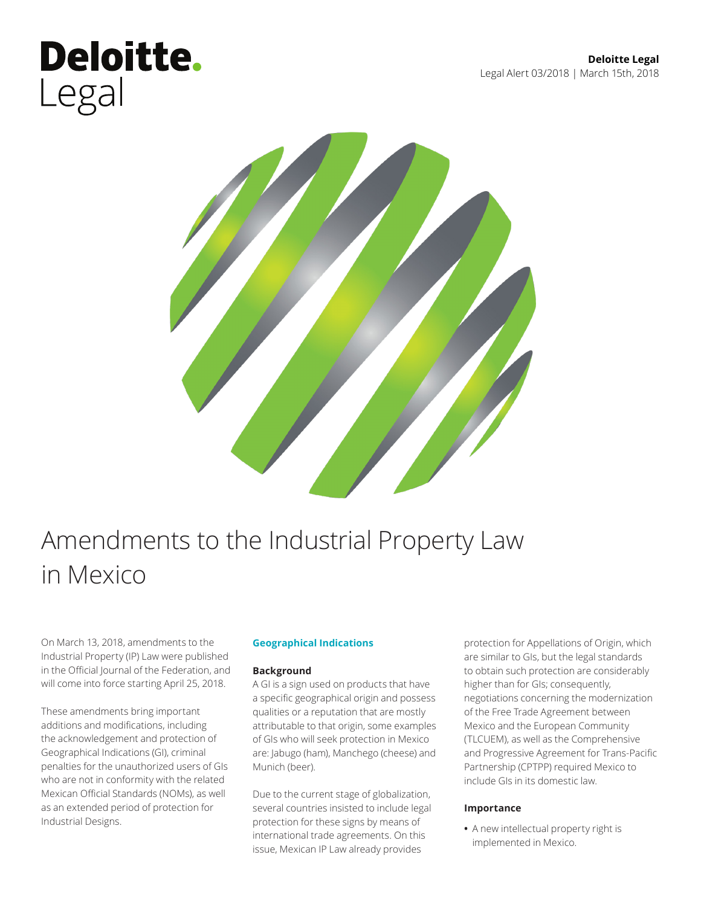## **Deloitte.** Legal



### Amendments to the Industrial Property Law in Mexico

On March 13, 2018, amendments to the Industrial Property (IP) Law were published in the Official Journal of the Federation, and will come into force starting April 25, 2018.

These amendments bring important additions and modifications, including the acknowledgement and protection of Geographical Indications (GI), criminal penalties for the unauthorized users of GIs who are not in conformity with the related Mexican Official Standards (NOMs), as well as an extended period of protection for Industrial Designs.

#### **Geographical Indications**

#### **Background**

A GI is a sign used on products that have a specific geographical origin and possess qualities or a reputation that are mostly attributable to that origin, some examples of GIs who will seek protection in Mexico are: Jabugo (ham), Manchego (cheese) and Munich (beer).

Due to the current stage of globalization, several countries insisted to include legal protection for these signs by means of international trade agreements. On this issue, Mexican IP Law already provides

protection for Appellations of Origin, which are similar to GIs, but the legal standards to obtain such protection are considerably higher than for GIs; consequently, negotiations concerning the modernization of the Free Trade Agreement between Mexico and the European Community (TLCUEM), as well as the Comprehensive and Progressive Agreement for Trans-Pacific Partnership (CPTPP) required Mexico to include GIs in its domestic law.

#### **Importance**

**•** A new intellectual property right is implemented in Mexico.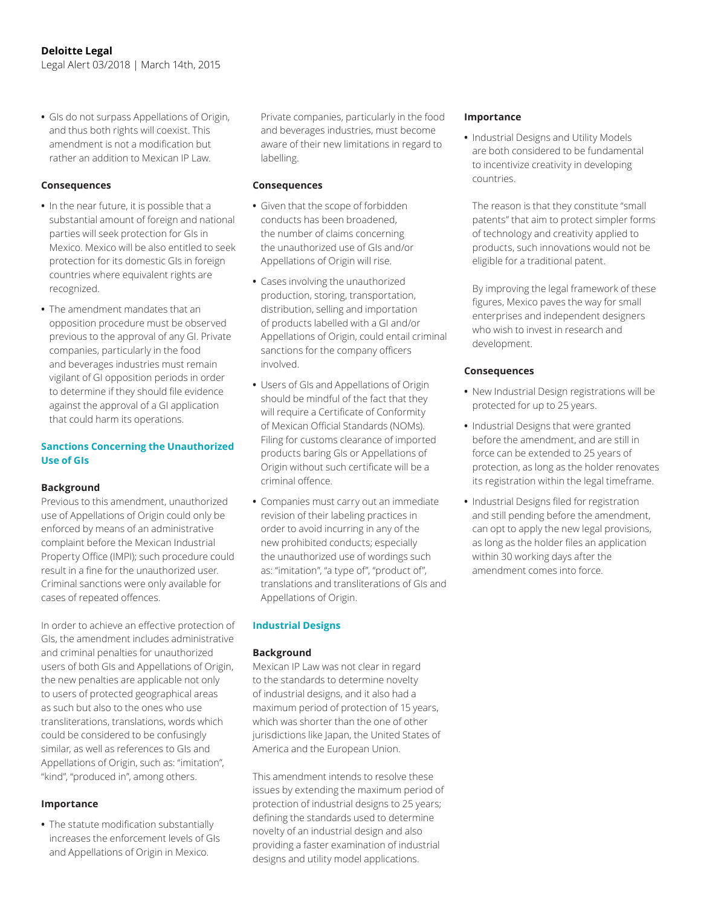**•** GIs do not surpass Appellations of Origin, and thus both rights will coexist. This amendment is not a modification but rather an addition to Mexican IP Law.

#### **Consequences**

- **•** In the near future, it is possible that a substantial amount of foreign and national parties will seek protection for GIs in Mexico. Mexico will be also entitled to seek protection for its domestic GIs in foreign countries where equivalent rights are recognized.
- **•** The amendment mandates that an opposition procedure must be observed previous to the approval of any GI. Private companies, particularly in the food and beverages industries must remain vigilant of GI opposition periods in order to determine if they should file evidence against the approval of a GI application that could harm its operations.

#### **Sanctions Concerning the Unauthorized Use of GIs**

#### **Background**

Previous to this amendment, unauthorized use of Appellations of Origin could only be enforced by means of an administrative complaint before the Mexican Industrial Property Office (IMPI); such procedure could result in a fine for the unauthorized user. Criminal sanctions were only available for cases of repeated offences.

In order to achieve an effective protection of GIs, the amendment includes administrative and criminal penalties for unauthorized users of both GIs and Appellations of Origin, the new penalties are applicable not only to users of protected geographical areas as such but also to the ones who use transliterations, translations, words which could be considered to be confusingly similar, as well as references to GIs and Appellations of Origin, such as: "imitation", "kind", "produced in", among others.

#### **Importance**

**•** The statute modification substantially increases the enforcement levels of GIs and Appellations of Origin in Mexico.

Private companies, particularly in the food and beverages industries, must become aware of their new limitations in regard to labelling.

#### **Consequences**

- **•** Given that the scope of forbidden conducts has been broadened, the number of claims concerning the unauthorized use of GIs and/or Appellations of Origin will rise.
- **•** Cases involving the unauthorized production, storing, transportation, distribution, selling and importation of products labelled with a GI and/or Appellations of Origin, could entail criminal sanctions for the company officers involved.
- **•** Users of GIs and Appellations of Origin should be mindful of the fact that they will require a Certificate of Conformity of Mexican Official Standards (NOMs). Filing for customs clearance of imported products baring GIs or Appellations of Origin without such certificate will be a criminal offence.
- **•** Companies must carry out an immediate revision of their labeling practices in order to avoid incurring in any of the new prohibited conducts; especially the unauthorized use of wordings such as: "imitation", "a type of", "product of", translations and transliterations of GIs and Appellations of Origin.

#### **Industrial Designs**

#### **Background**

Mexican IP Law was not clear in regard to the standards to determine novelty of industrial designs, and it also had a maximum period of protection of 15 years, which was shorter than the one of other jurisdictions like Japan, the United States of America and the European Union.

This amendment intends to resolve these issues by extending the maximum period of protection of industrial designs to 25 years; defining the standards used to determine novelty of an industrial design and also providing a faster examination of industrial designs and utility model applications.

#### **Importance**

**•** Industrial Designs and Utility Models are both considered to be fundamental to incentivize creativity in developing countries.

The reason is that they constitute "small patents" that aim to protect simpler forms of technology and creativity applied to products, such innovations would not be eligible for a traditional patent.

By improving the legal framework of these figures, Mexico paves the way for small enterprises and independent designers who wish to invest in research and development.

#### **Consequences**

- **•** New Industrial Design registrations will be protected for up to 25 years.
- **•** Industrial Designs that were granted before the amendment, and are still in force can be extended to 25 years of protection, as long as the holder renovates its registration within the legal timeframe.
- **•** Industrial Designs filed for registration and still pending before the amendment, can opt to apply the new legal provisions, as long as the holder files an application within 30 working days after the amendment comes into force.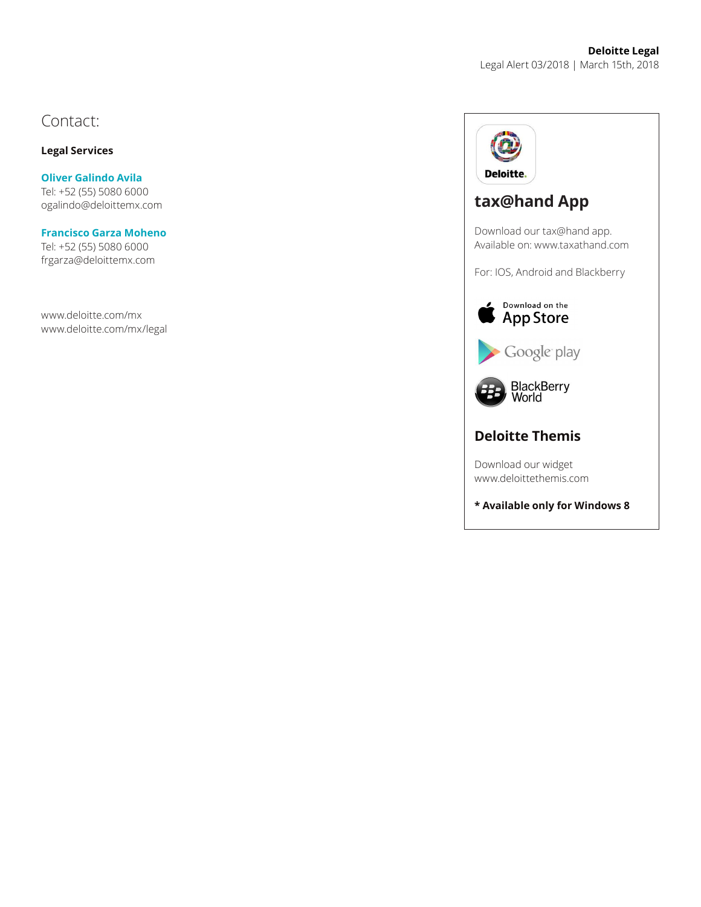#### Contact:

#### **Legal Services**

**Oliver Galindo Avila** Tel: +52 (55) 5080 6000 ogalindo@deloittemx.com

#### **Francisco Garza Moheno**

Tel: +52 (55) 5080 6000 frgarza@deloittemx.com

www.deloitte.com/mx www.deloitte.com/mx/legal



### **tax@hand App**

Download our tax@hand app. Available on: www.taxathand.com

For: IOS, Android and Blackberry



Google play



#### **Deloitte Themis**

Download our widget www.deloittethemis.com

**\* Available only for Windows 8**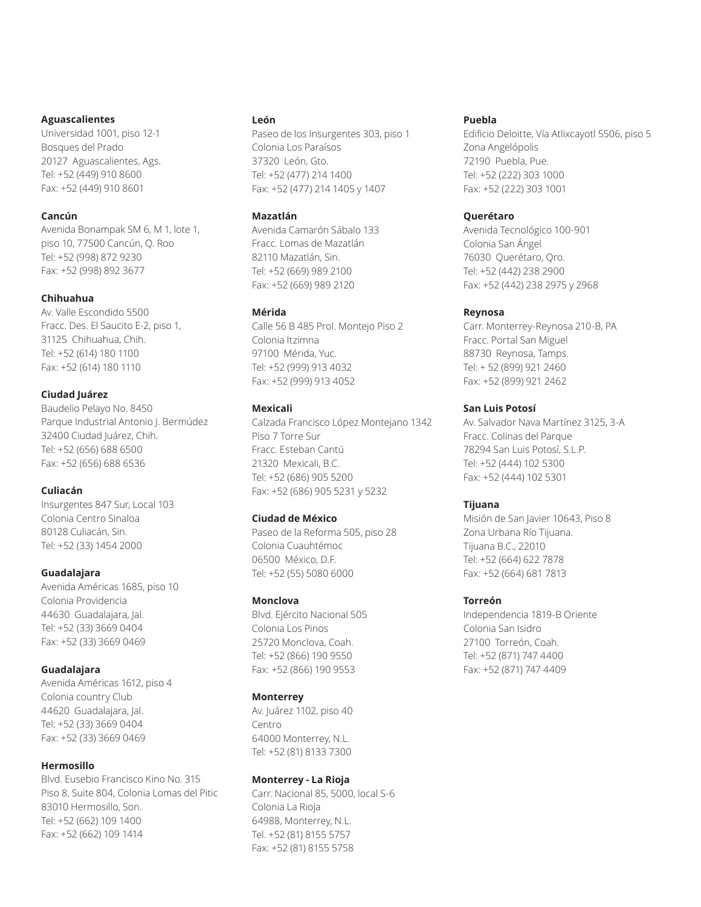#### **Aguascalientes**

Universidad 1001, piso 12-1 Bosques del Prado 20127 Aguascalientes, Ags. Tel: +52 (449) 910 8600 Fax: +52 (449) 910 8601

#### **Cancún**

Avenida Bonampak SM 6, M 1, lote 1, piso 10, 77500 Cancún, Q. Roo Tel: +52 (998) 872 9230 Fax: +52 (998) 892 3677

#### **Chihuahua**

Av. Valle Escondido 5500 Fracc. Des. El Saucito E-2, piso 1, 31125 Chihuahua, Chih. Tel: +52 (614) 180 1100 Fax: +52 (614) 180 1110

#### **Ciudad Juárez**

Baudelio Pelayo No. 8450 Parque Industrial Antonio J. Bermúdez 32400 Ciudad Juárez, Chih. Tel: +52 (656) 688 6500 Fax: +52 (656) 688 6536

#### **Culiacán**

Insurgentes 847 Sur, Local 103 Colonia Centro Sinaloa 80128 Culiacán, Sin. Tel: +52 (33) 1454 2000

#### **Guadalajara**

Avenida Américas 1685, piso 10 Colonia Providencia 44630 Guadalajara, Jal. Tel: +52 (33) 3669 0404 Fax: +52 (33) 3669 0469

#### **Guadalajara**

Avenida Américas 1612, piso 4 Colonia country Club 44620 Guadalajara, Jal. Tel: +52 (33) 3669 0404 Fax: +52 (33) 3669 0469

#### **Hermosillo**

Blvd. Eusebio Francisco Kino No. 315 Piso 8, Suite 804, Colonia Lomas del Pitic 83010 Hermosillo, Son. Tel: +52 (662) 109 1400 Fax: +52 (662) 109 1414

#### **León**

Paseo de los Insurgentes 303, piso 1 Colonia Los Paraísos 37320 León, Gto. Tel: +52 (477) 214 1400 Fax: +52 (477) 214 1405 y 1407

#### **Mazatlán**

Avenida Camarón Sábalo 133 Fracc. Lomas de Mazatlán 82110 Mazatlán, Sin. Tel: +52 (669) 989 2100 Fax: +52 (669) 989 2120

#### **Mérida**

Calle 56 B 485 Prol. Montejo Piso 2 Colonia Itzimna 97100 Mérida, Yuc. Tel: +52 (999) 913 4032 Fax: +52 (999) 913 4052

#### **Mexicali**

Calzada Francisco López Montejano 1342 Piso 7 Torre Sur Fracc. Esteban Cantú 21320 Mexicali, B.C. Tel: +52 (686) 905 5200 Fax: +52 (686) 905 5231 y 5232

#### **Ciudad de México**

Paseo de la Reforma 505, piso 28 Colonia Cuauhtémoc 06500 México, D.F. Tel: +52 (55) 5080 6000

#### **Monclova**

Blvd. Ejército Nacional 505 Colonia Los Pinos 25720 Monclova, Coah. Tel: +52 (866) 190 9550 Fax: +52 (866) 190 9553

#### **Monterrey**

Av. Juárez 1102, piso 40 Centro 64000 Monterrey, N.L. Tel: +52 (81) 8133 7300

#### **Monterrey - La Rioja**

Carr. Nacional 85, 5000, local S-6 Colonia La Rioja 64988, Monterrey, N.L. Tel. +52 (81) 8155 5757 Fax: +52 (81) 8155 5758

#### **Puebla**

Edificio Deloitte, Vía Atlixcayotl 5506, piso 5 Zona Angelópolis 72190 Puebla, Pue. Tel: +52 (222) 303 1000 Fax: +52 (222) 303 1001

#### **Querétaro**

Avenida Tecnológico 100-901 Colonia San Ángel 76030 Querétaro, Qro. Tel: +52 (442) 238 2900 Fax: +52 (442) 238 2975 y 2968

#### **Reynosa**

Carr. Monterrey-Reynosa 210-B, PA Fracc. Portal San Miguel 88730 Reynosa, Tamps. Tel: + 52 (899) 921 2460 Fax: +52 (899) 921 2462

#### **San Luis Potosí**

Av. Salvador Nava Martínez 3125, 3-A Fracc. Colinas del Parque 78294 San Luis Potosí, S.L.P. Tel: +52 (444) 102 5300 Fax: +52 (444) 102 5301

#### **Tijuana**

Misión de San Javier 10643, Piso 8 Zona Urbana Río Tijuana. Tijuana B.C., 22010 Tel: +52 (664) 622 7878 Fax: +52 (664) 681 7813

#### **Torreón**

Independencia 1819-B Oriente Colonia San Isidro 27100 Torreón, Coah. Tel: +52 (871) 747 4400 Fax: +52 (871) 747 4409